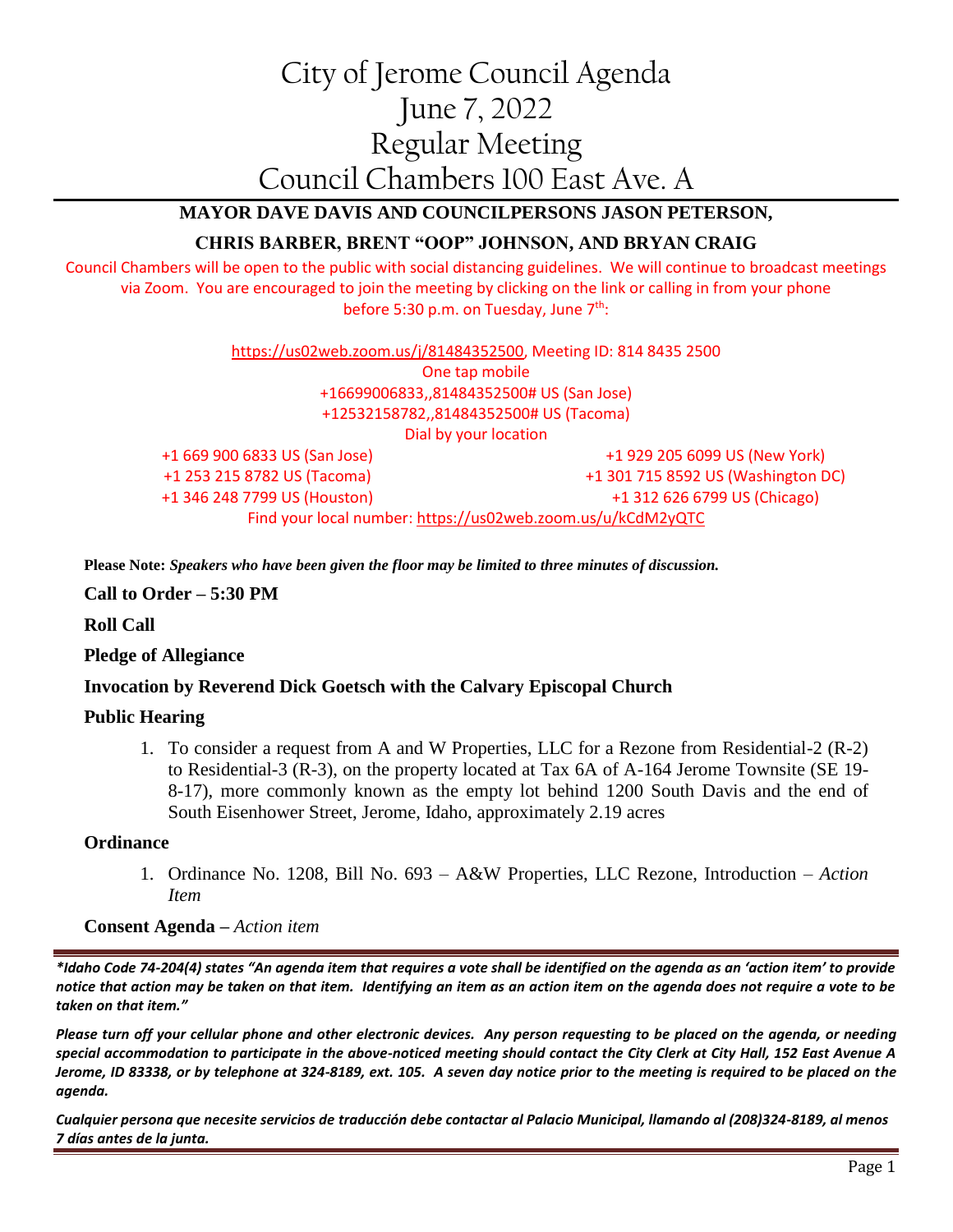# City of Jerome Council Agenda June 7, 2022 Regular Meeting Council Chambers 100 East Ave. A

**MAYOR DAVE DAVIS AND COUNCILPERSONS JASON PETERSON,**

## **CHRIS BARBER, BRENT "OOP" JOHNSON, AND BRYAN CRAIG**

Council Chambers will be open to the public with social distancing guidelines. We will continue to broadcast meetings via Zoom. You are encouraged to join the meeting by clicking on the link or calling in from your phone before 5:30 p.m. on Tuesday, June  $7<sup>th</sup>$ :

> [https://us02web.zoom.us/j/81484352500,](https://us02web.zoom.us/j/81484352500) Meeting ID: 814 8435 2500 One tap mobile +16699006833,,81484352500# US (San Jose) +12532158782,,81484352500# US (Tacoma) Dial by your location +1 669 900 6833 US (San Jose) +1 253 215 8782 US (Tacoma) +1 346 248 7799 US (Houston) +1 929 205 6099 US (New York) +1 301 715 8592 US (Washington DC) +1 312 626 6799 US (Chicago) Find your local number:<https://us02web.zoom.us/u/kCdM2yQTC>

**Please Note:** *Speakers who have been given the floor may be limited to three minutes of discussion.*

**Call to Order – 5:30 PM**

**Roll Call**

### **Pledge of Allegiance**

### **Invocation by Reverend Dick Goetsch with the Calvary Episcopal Church**

### **Public Hearing**

1. To consider a request from A and W Properties, LLC for a Rezone from Residential-2 (R-2) to Residential-3 (R-3), on the property located at Tax 6A of A-164 Jerome Townsite (SE 19- 8-17), more commonly known as the empty lot behind 1200 South Davis and the end of South Eisenhower Street, Jerome, Idaho, approximately 2.19 acres

### **Ordinance**

1. Ordinance No. 1208, Bill No. 693 – A&W Properties, LLC Rezone, Introduction – *Action Item*

**Consent Agenda –** *Action item*

*\*Idaho Code 74-204(4) states "An agenda item that requires a vote shall be identified on the agenda as an 'action item' to provide notice that action may be taken on that item. Identifying an item as an action item on the agenda does not require a vote to be taken on that item."*

*Please turn off your cellular phone and other electronic devices. Any person requesting to be placed on the agenda, or needing special accommodation to participate in the above-noticed meeting should contact the City Clerk at City Hall, 152 East Avenue A Jerome, ID 83338, or by telephone at 324-8189, ext. 105. A seven day notice prior to the meeting is required to be placed on the agenda.* 

*Cualquier persona que necesite servicios de traducción debe contactar al Palacio Municipal, llamando al (208)324-8189, al menos 7 días antes de la junta.*